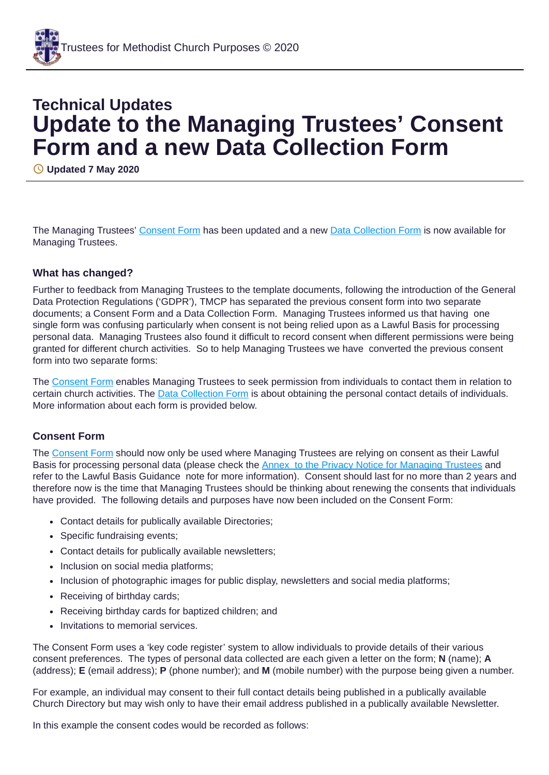# **Technical Updates Update to the Managing Trustees' Consent Form and a new Data Collection Form**

**Updated 7 May 2020**

The Managing Trustees' [Consent](https://www.tmcp.org.uk/about/data-protection/resources/standard-documents-and-forms/consent-form) Form has been updated and a new Data [Collection](https://www.tmcp.org.uk/about/data-protection/resources/standard-documents-and-forms/data-collection-form) Form is now available for Managing Trustees.

## **What has changed?**

Further to feedback from Managing Trustees to the template documents, following the introduction of the General Data Protection Regulations ('GDPR'), TMCP has separated the previous consent form into two separate documents; a Consent Form and a Data Collection Form. Managing Trustees informed us that having one single form was confusing particularly when consent is not being relied upon as a Lawful Basis for processing personal data. Managing Trustees also found it difficult to record consent when different permissions were being granted for different church activities. So to help Managing Trustees we have converted the previous consent form into two separate forms:

The [Consent](https://www.tmcp.org.uk/about/data-protection/resources/standard-documents-and-forms/consent-form) Form enables Managing Trustees to seek permission from individuals to contact them in relation to certain church activities. The Data [Collection](https://www.tmcp.org.uk/about/data-protection/resources/standard-documents-and-forms/data-collection-form) Form is about obtaining the personal contact details of individuals. More information about each form is provided below.

# **Consent Form**

The [Consent](http://www.tmcp.org.uk/about/data-protection/resources/standard-documents-and-forms/consent-form) Form should now only be used where Managing Trustees are relying on consent as their Lawful Basis for processing personal data (please check the Annex to the Privacy Notice for [Managing](https://www.tmcp.org.uk/about/data-protection/managing-trustees-privacy-notice#annex) Trustees and refer to the Lawful Basis Guidance note for more information). Consent should last for no more than 2 years and therefore now is the time that Managing Trustees should be thinking about renewing the consents that individuals have provided. The following details and purposes have now been included on the Consent Form:

- Contact details for publically available Directories;
- Specific fundraising events;
- Contact details for publically available newsletters;
- Inclusion on social media platforms;
- Inclusion of photographic images for public display, newsletters and social media platforms;
- Receiving of birthday cards;
- Receiving birthday cards for baptized children; and
- Invitations to memorial services.

The Consent Form uses a 'key code register' system to allow individuals to provide details of their various consent preferences. The types of personal data collected are each given a letter on the form; **N** (name); **A** (address); **E** (email address); **P** (phone number); and **M** (mobile number) with the purpose being given a number.

For example, an individual may consent to their full contact details being published in a publically available Church Directory but may wish only to have their email address published in a publically available Newsletter.

In this example the consent codes would be recorded as follows: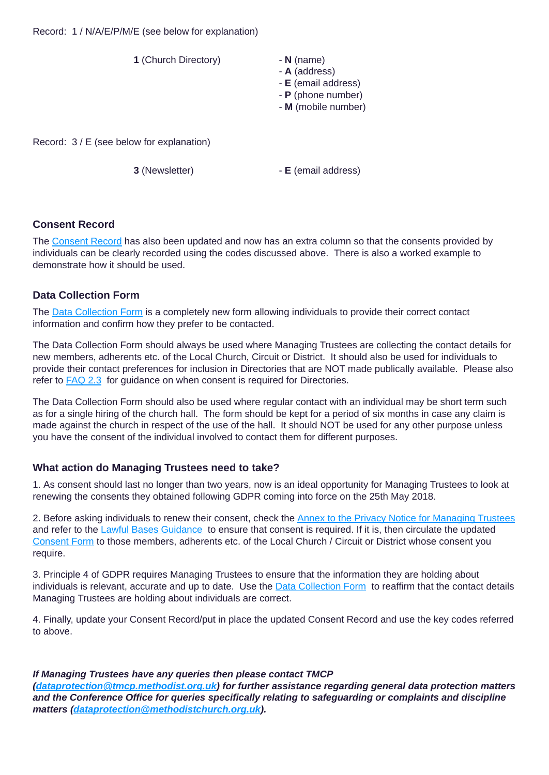

# **Consent Record**

The [Consent](https://www.tmcp.org.uk/about/data-protection/resources/standard-documents-and-forms/consent-record) Record has also been updated and now has an extra column so that the consents provided by individuals can be clearly recorded using the codes discussed above. There is also a worked example to demonstrate how it should be used.

## **Data Collection Form**

The Data [Collection](https://www.tmcp.org.uk/about/data-protection/resources/standard-documents-and-forms/data-collection-form) Form is a completely new form allowing individuals to provide their correct contact information and confirm how they prefer to be contacted.

The Data Collection Form should always be used where Managing Trustees are collecting the contact details for new members, adherents etc. of the Local Church, Circuit or District. It should also be used for individuals to provide their contact preferences for inclusion in Directories that are NOT made publically available. Please also refer to **[FAQ](https://www.tmcp.org.uk/about/data-protection/resources/faq#2-2) 2.3** for guidance on when consent is required for Directories.

The Data Collection Form should also be used where regular contact with an individual may be short term such as for a single hiring of the church hall. The form should be kept for a period of six months in case any claim is made against the church in respect of the use of the hall. It should NOT be used for any other purpose unless you have the consent of the individual involved to contact them for different purposes.

#### **What action do Managing Trustees need to take?**

1. As consent should last no longer than two years, now is an ideal opportunity for Managing Trustees to look at renewing the consents they obtained following GDPR coming into force on the 25th May 2018.

2. Before asking individuals to renew their consent, check the Annex to the Privacy Notice for [Managing](https://www.tmcp.org.uk/about/data-protection/managing-trustees-privacy-notice#annex) Trustees and refer to the Lawful Bases [Guidance](https://www.tmcp.org.uk/about/data-protection/resources/guidenotes/lawful-bases-guidance) to ensure that consent is required. If it is, then circulate the updated [Consent](https://www.tmcp.org.uk/about/data-protection/resources/standard-documents-and-forms/consent-form) Form to those members, adherents etc. of the Local Church / Circuit or District whose consent you require.

3. Principle 4 of GDPR requires Managing Trustees to ensure that the information they are holding about individuals is relevant, accurate and up to date. Use the **Data [Collection](https://www.tmcp.org.uk/about/data-protection/resources/standard-documents-and-forms/data-collection-form) Form** to reaffirm that the contact details Managing Trustees are holding about individuals are correct.

4. Finally, update your Consent Record/put in place the updated Consent Record and use the key codes referred to above.

#### *If Managing Trustees have any queries then please contact TMCP*

*([dataprotection@tmcp.methodist.org.uk\)](mailto:dataprotection@tmcp.methodist.org.uk) for further assistance regarding general data protection matters and the Conference Office for queries specifically relating to safeguarding or complaints and discipline matters ([dataprotection@methodistchurch.org.uk](mailto:dataprotection@methodistchurch.org.uk)).*